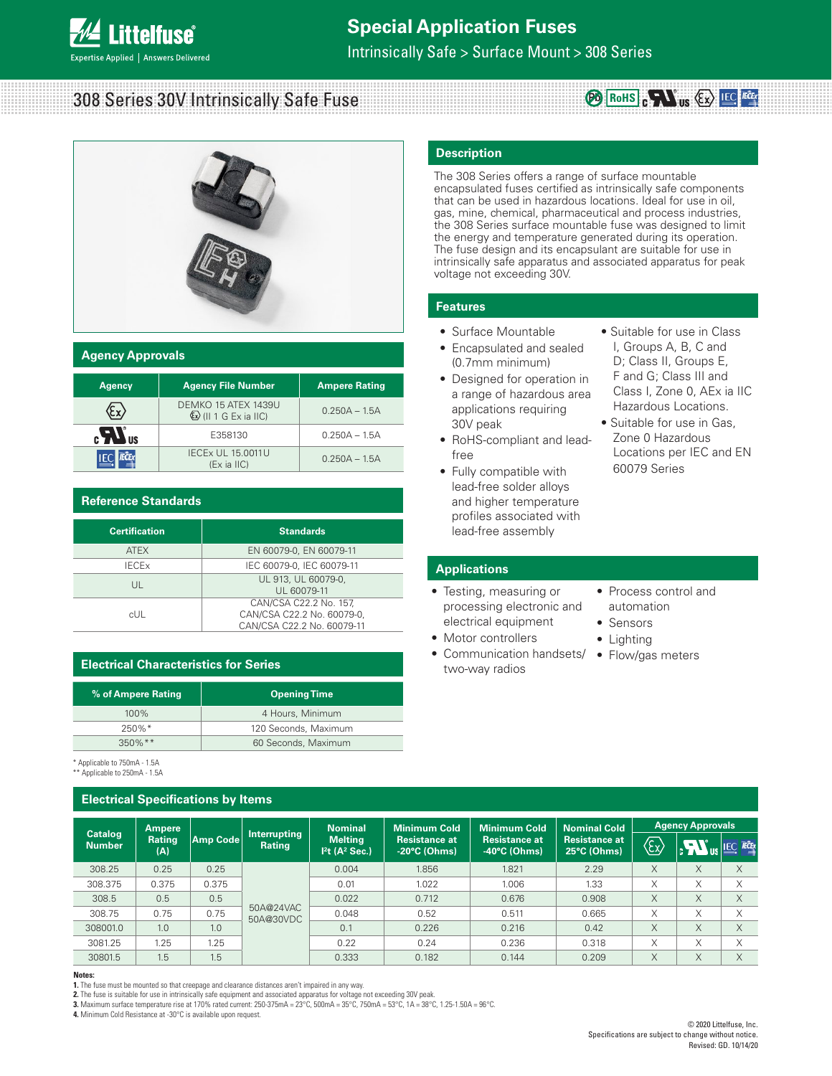

# **Special Application Fuses**

Intrinsically Safe > Surface Mount > 308 Series

## 308 Series 30V Intrinsically Safe Fuse



### **Agency Approvals**

| <b>Agency</b>                           | <b>Agency File Number</b>                              | <b>Ampere Rating</b> |  |  |
|-----------------------------------------|--------------------------------------------------------|----------------------|--|--|
|                                         | DEMKO 15 ATEX 1439U<br>$\mathbb{Q}$ (II 1 G Ex ia IIC) | $0.250A - 1.5A$      |  |  |
| $\mathbf{c}$ $\mathbf{W}$ <sub>us</sub> | E358130                                                | $0.250A - 1.5A$      |  |  |
|                                         | <b>IECEX UL 15,0011U</b><br>$(EX$ ia $IIC$             | $0.250A - 1.5A$      |  |  |

### **Reference Standards**

\* Applicable to 750mA - 1.5A

| <b>Certification</b>    | <b>Standards</b>                                                                   |  |  |
|-------------------------|------------------------------------------------------------------------------------|--|--|
| <b>ATEX</b>             | EN 60079-0, EN 60079-11                                                            |  |  |
| <b>IECE<sub>x</sub></b> | IEC 60079-0, IEC 60079-11                                                          |  |  |
| UL                      | UL 913, UL 60079-0,<br>UL 60079-11                                                 |  |  |
| cUL                     | CAN/CSA C22.2 No. 157.<br>CAN/CSA C22.2 No. 60079-0,<br>CAN/CSA C22.2 No. 60079-11 |  |  |

## **Electrical Characteristics for Series**

| % of Ampere Rating | <b>Opening Time</b>  |
|--------------------|----------------------|
| $100\%$            | 4 Hours, Minimum     |
| $250\%$ *          | 120 Seconds, Maximum |
| $350\%$ **         | 60 Seconds, Maximum  |

### **Description**

The 308 Series offers a range of surface mountable encapsulated fuses certified as intrinsically safe components that can be used in hazardous locations. Ideal for use in oil, gas, mine, chemical, pharmaceutical and process industries, the 308 Series surface mountable fuse was designed to limit the energy and temperature generated during its operation. The fuse design and its encapsulant are suitable for use in intrinsically safe apparatus and associated apparatus for peak voltage not exceeding 30V.

**RoHS Pb**

### **Features**

- Surface Mountable
- Encapsulated and sealed (0.7mm minimum)
- Designed for operation in a range of hazardous area applications requiring 30V peak
- RoHS-compliant and leadfree
- Fully compatible with lead-free solder alloys and higher temperature profiles associated with lead-free assembly
- Suitable for use in Class I, Groups A, B, C and D; Class II, Groups E, F and G; Class III and Class I, Zone 0, AEx ia IIC Hazardous Locations.
- Suitable for use in Gas, Zone 0 Hazardous Locations per IEC and EN 60079 Series

### **Applications**

- Testing, measuring or processing electronic and electrical equipment
- Motor controllers
- Communication handsets/ two-way radios
- Process control and automation
- Sensors
- Lighting
- Flow/gas meters

| <b>Electrical Specifications by Items</b>                     |
|---------------------------------------------------------------|
| Applicable to Tourila - T.SA<br>** Applicable to 250mA - 1.5A |

| <b>Ampere</b>                   |               |          | <b>Nominal</b>                | <b>Minimum Cold</b>              | Minimum Cold                            | <b>Nominal Cold</b>                            | <b>Agency Approvals</b>             |                   |              |                            |
|---------------------------------|---------------|----------|-------------------------------|----------------------------------|-----------------------------------------|------------------------------------------------|-------------------------------------|-------------------|--------------|----------------------------|
| <b>Catalog</b><br><b>Number</b> | Rating<br>(A) | Amp Code | Interrupting<br><b>Rating</b> | <b>Melting</b><br>$Pt(A^2 Sec.)$ | Resistance at<br>$-20^{\circ}$ C (Ohms) | <b>Resistance at</b><br>$-40^{\circ}$ C (Ohms) | <b>Resistance at</b><br>25°C (Ohms) | י <i>ה</i><br>(≿x | $\mathbf{m}$ | <b>IECEX</b><br><b>IEC</b> |
| 308.25                          | 0.25          | 0.25     |                               | 0.004                            | 1.856                                   | 1.821                                          | 2.29                                | X                 | X            | X                          |
| 308.375                         | 0.375         | 0.375    |                               | 0.01                             | 1.022                                   | 1.006                                          | 1.33                                | X                 | X            | X                          |
| 308.5                           | 0.5           | 0.5      | 50A@24VAC<br>50A@30VDC        | 0.022                            | 0.712                                   | 0.676                                          | 0.908                               | X                 | X            | X                          |
| 308.75                          | 0.75          | 0.75     |                               | 0.048                            | 0.52                                    | 0.511                                          | 0.665                               | X                 | X            | X                          |
| 308001.0                        | 1.0           | 1.0      |                               | 0.1                              | 0.226                                   | 0.216                                          | 0.42                                | X                 | X            | X                          |
| 3081.25                         | 1.25          | 1.25     |                               | 0.22                             | 0.24                                    | 0.236                                          | 0.318                               | X                 | X            | X                          |
| 30801.5                         | 1.5           | 1.5      |                               | 0.333                            | 0.182                                   | 0.144                                          | 0.209                               | X                 | X            | X                          |

#### **Notes:**

**1.** The fuse must be mounted so that creepage and clearance distances aren't impaired in any way.<br>**2.** The fuse is suitable for use in intrinsically safe equipment and associated apparatus for voltage not exceeding 30V pe

**3.** Maximum surface temperature rise at 170% rated current: 250-375mA = 23°C, 500mA = 35°C, 750mA = 53°C, 1A = 38°C, 1.25-1.50A = 96°C.

**4.** Minimum Cold Resistance at -30°C is available upon request.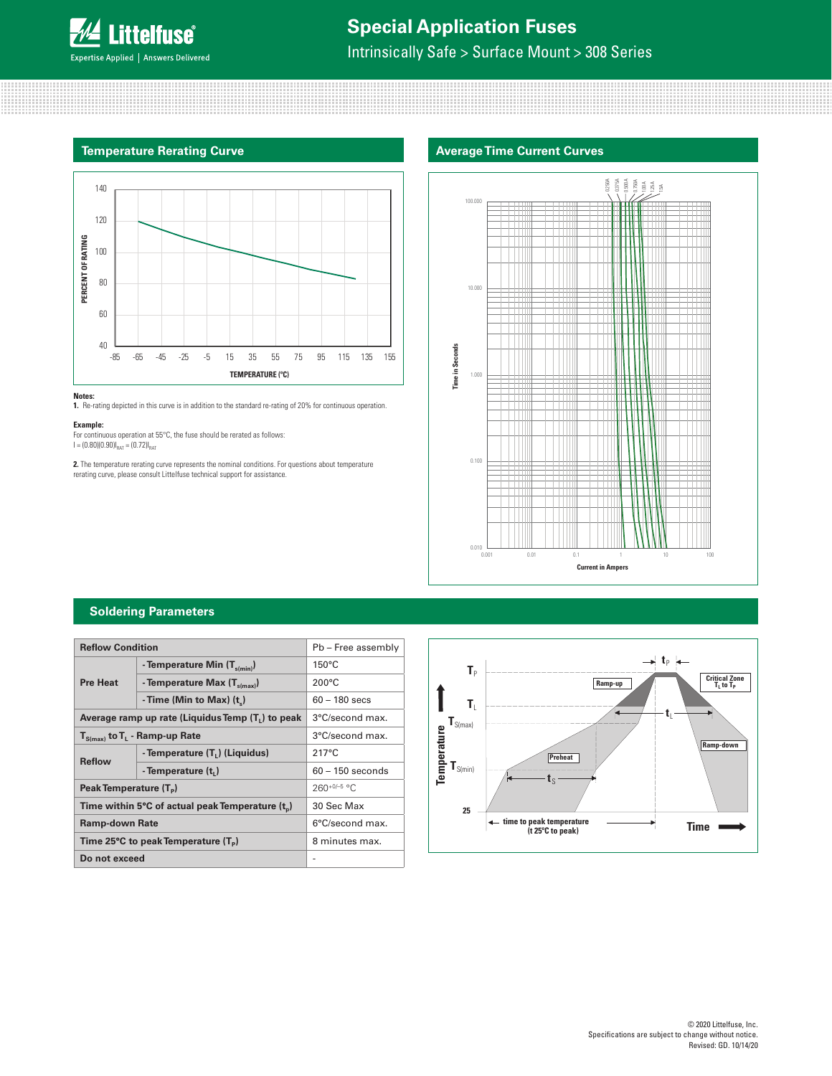

## **Special Application Fuses**

Intrinsically Safe > Surface Mount > 308 Series

## **Temperature Rerating Curve**



#### **Notes:**

**1.** Re-rating depicted in this curve is in addition to the standard re-rating of 20% for continuous operation.

#### **Example:**

For continuous operation at 55°C, the fuse should be rerated as follows:<br>I = (0.80)(0.90)I<sub>RAT</sub> = (0.72)I<sub>RAT</sub>

**2.** The temperature rerating curve represents the nominal conditions. For questions about temperature rerating curve, please consult Littelfuse technical support for assistance.





### **Soldering Parameters**

| <b>Reflow Condition</b>                             | Pb - Free assembly                         |                    |  |
|-----------------------------------------------------|--------------------------------------------|--------------------|--|
|                                                     | - Temperature Min $(T_{s(min)})$           | $150^{\circ}$ C    |  |
| <b>Pre Heat</b>                                     | - Temperature Max $(T_{s(max)})$           | $200^{\circ}$ C    |  |
|                                                     | - Time (Min to Max) (t.)                   | $60 - 180$ secs    |  |
| Average ramp up rate (Liquidus Temp $(T_1)$ to peak | 3°C/second max.                            |                    |  |
| $T_{S(max)}$ to $T_L$ - Ramp-up Rate                | 3°C/second max.                            |                    |  |
| <b>Reflow</b>                                       | - Temperature (T <sub>1</sub> ) (Liquidus) | $217^{\circ}$ C    |  |
|                                                     | - Temperature (t,)                         | $60 - 150$ seconds |  |
| Peak Temperature (T <sub>a</sub> )                  |                                            | $260+0/-5$ °C      |  |
| Time within 5°C of actual peak Temperature $(t_0)$  | 30 Sec Max                                 |                    |  |
| <b>Ramp-down Rate</b>                               |                                            | 6°C/second max.    |  |
| Time 25°C to peak Temperature $(T_P)$               |                                            | 8 minutes max.     |  |
| Do not exceed                                       |                                            |                    |  |